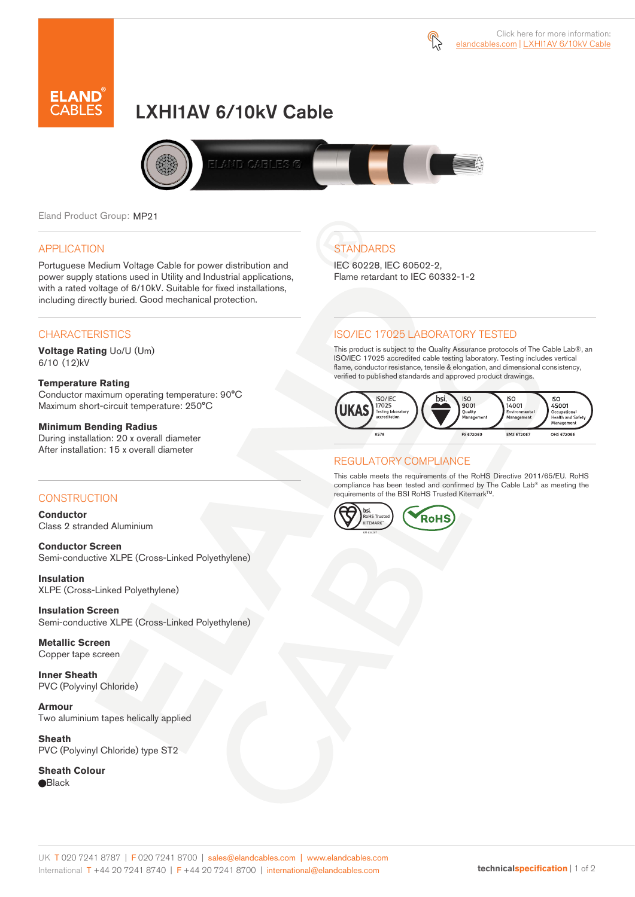



# LXHI1AV 6/10kV Cable



Eland Product Group: MP21

### APPLICATION

Portuguese Medium Voltage Cable for power distribution and power supply stations used in Utility and Industrial applications, with a rated voltage of 6/10kV. Suitable for fixed installations, including directly buried. Good mechanical protection.

### **CHARACTERISTICS**

**Voltage Rating** Uo/U (Um) 6/10 (12)kV

### **Temperature Rating**

Conductor maximum operating temperature: 90°C Maximum short-circuit temperature: 250°C

### **Minimum Bending Radius**

During installation: 20 x overall diameter After installation: 15 x overall diameter

### **CONSTRUCTION**

**Conductor**  Class 2 stranded Aluminium

**Conductor Screen** Semi-conductive XLPE (Cross-Linked Polyethylene)

**Insulation** XLPE (Cross-Linked Polyethylene)

**Insulation Screen** Semi-conductive XLPE (Cross-Linked Polyethylene)

**Metallic Screen**  Copper tape screen

**Inner Sheath** PVC (Polyvinyl Chloride)

**Armour** Two aluminium tapes helically applied

**Sheath** PVC (Polyvinyl Chloride) type ST2

**Sheath Colour Black** 

# **STANDARDS**

IEC 60228, IEC 60502-2, Flame retardant to IEC 60332-1-2

### ISO/IEC 17025 LABORATORY TESTED

This product is subject to the Quality Assurance protocols of The Cable Lab®, an ISO/IEC 17025 accredited cable testing laboratory. Testing includes vertical flame, conductor resistance, tensile & elongation, and dimensional consistency, verified to published standards and approved product drawings.



### REGULATORY COMPLIANCE

This cable meets the requirements of the RoHS Directive 2011/65/EU. RoHS compliance has been tested and confirmed by The Cable Lab® as meeting the requirements of the BSI RoHS Trusted Kitemark™.



#### UK T 020 7241 8787 | F 020 7241 8700 | sales@elandcables.com | www.elandcables.com International T +44 20 7241 8740 | F +44 20 7241 8700 | international@elandcables.com